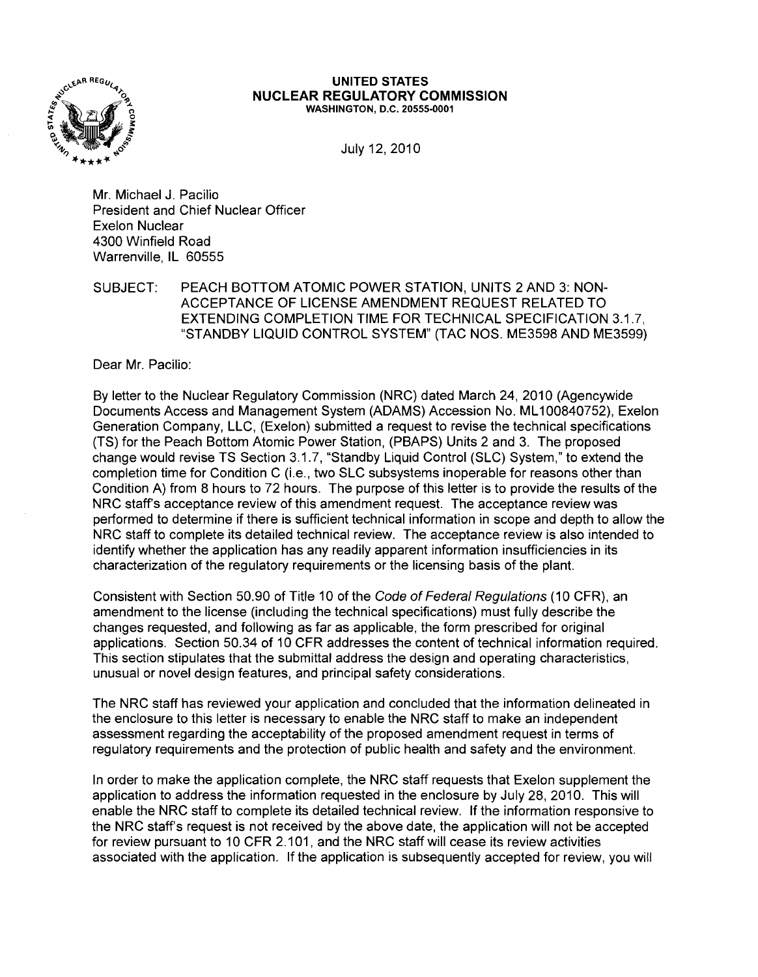

#### UNITED STATES NUCLEAR REGULATORY COMMISSION WASHINGTON, D.C. 20555·0001

July 12, 2010

Mr. Michael J. Pacilio President and Chief Nuclear Officer Exelon Nuclear 4300 Winfield Road Warrenville, IL 60555

SUBJECT: PEACH BOTTOM ATOMIC POWER STATION, UNITS 2 AND 3: NON-ACCEPTANCE OF LICENSE AMENDMENT REQUEST RELATED TO EXTENDING COMPLETION TIME FOR TECHNICAL SPECIFICATION 3.1.7, "STANDBY LIQUID CONTROL SYSTEM" (TAC NOS. ME3598 AND ME3599)

Dear Mr. Pacilio:

By letter to the Nuclear Regulatory Commission (NRC) dated March 24, 2010 (Agencywide Documents Access and Management System (ADAMS) Accession No. ML100840752), Exelon Generation Company, LLC, (Exelon) submitted a request to revise the technical specifications (TS) for the Peach Bottom Atomic Power Station, (PBAPS) Units 2 and 3. The proposed change would revise TS Section 3.1.7, "Standby Liquid Control (SLC) System," to extend the completion time for Condition C (i.e., two SLC subsystems inoperable for reasons other than Condition A) from 8 hours to 72 hours. The purpose of this letter is to provide the results of the NRC staff's acceptance review of this amendment request. The acceptance review was performed to determine if there is sufficient technical information in scope and depth to allow the NRC staff to complete its detailed technical review. The acceptance review is also intended to identify whether the application has any readily apparent information insufficiencies in its characterization of the regulatory requirements or the licensing basis of the plant.

Consistent with Section 50.90 of Title 10 of the Code of Federal Regulations (10 CFR), an amendment to the license (including the technical specifications) must fully describe the changes requested, and following as far as applicable, the form prescribed for original applications. Section 50.34 of 10 CFR addresses the content of technical information required. This section stipulates that the submittal address the design and operating characteristics, unusual or novel design features, and principal safety considerations.

The NRC staff has reviewed your application and concluded that the information delineated in the enclosure to this letter is necessary to enable the NRC staff to make an independent assessment regarding the acceptability of the proposed amendment request in terms of regulatory requirements and the protection of public health and safety and the environment.

In order to make the application complete, the NRC staff requests that Exelon supplement the application to address the information requested in the enclosure by July 28, 2010. This will enable the NRC staff to complete its detailed technical review. If the information responsive to the NRC staff's request is not received by the above date, the application will not be accepted for review pursuant to 10 CFR 2.101, and the NRC staff will cease its review activities associated with the application. If the application is SUbsequently accepted for review, you will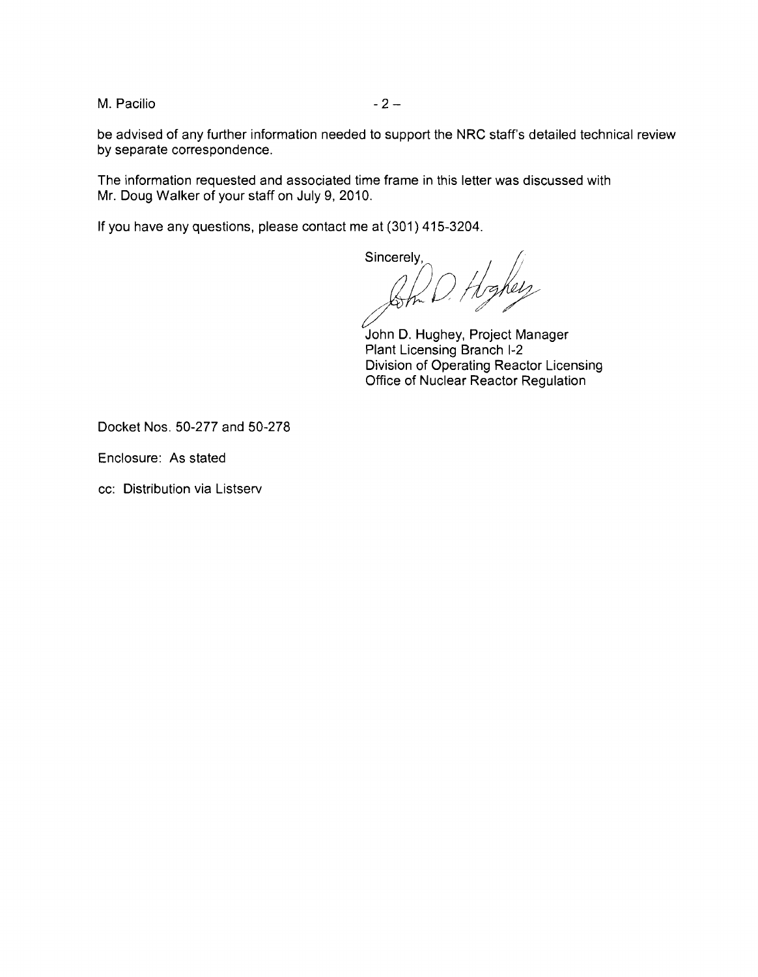M. Pacilio  $-2-$ 

be advised of any further information needed to support the NRC staff's detailed technical review by separate correspondence.

The information requested and associated time frame in this letter was discussed with Mr. Doug Walker of your staff on July 9, 2010.

If you have any questions, please contact me at (301) 415-3204.

Sincerely,

Som D. Highelp

John D. Hughey, Project Manager Plant Licensing Branch 1-2 Division of Operating Reactor Licensing Office of Nuclear Reactor Regulation

Docket Nos. 50-277 and 50-278

Enclosure: As stated

cc: Distribution via Listserv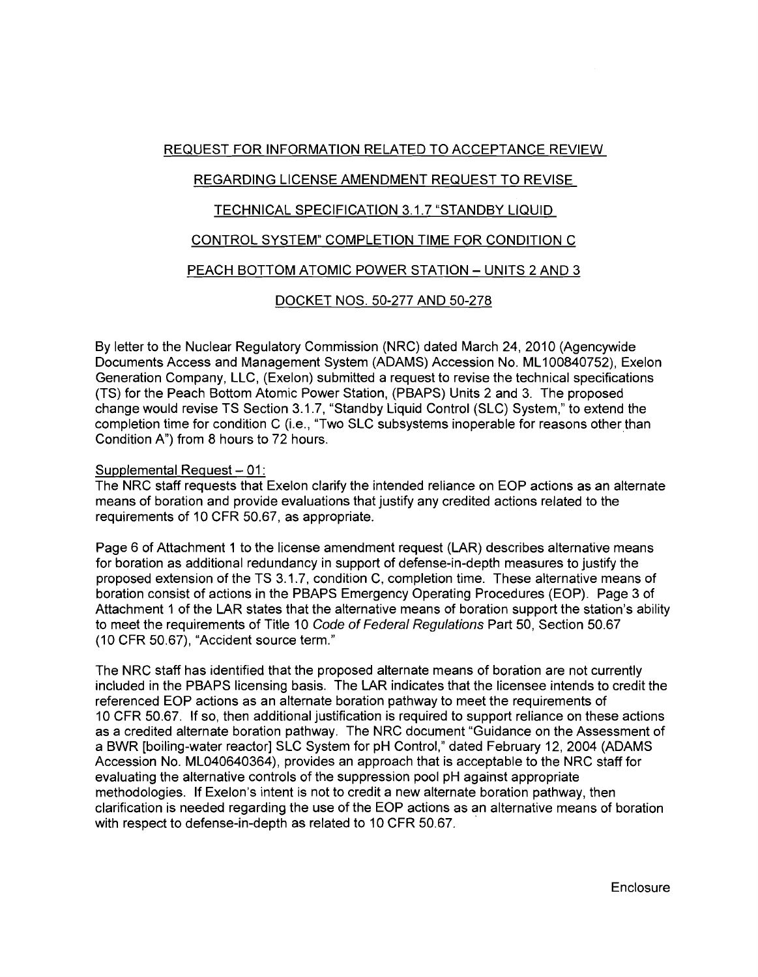### REQUEST FOR INFORMATION RELATED TO ACCEPTANCE REVIEW

# REGARDING LICENSE AMENDMENT REQUEST TO REVISE

#### TECHNICAL SPECIFICATION 3.1.7 "STANDBY LIQUID

### CONTROL SYSTEM" COMPLETION TIME FOR CONDITION C

# PEACH BOTTOM ATOMIC POWER STATION - UNITS 2 AND 3

#### DOCKET NOS. 50-277 AND 50-278

By letter to the Nuclear Regulatory Commission (NRC) dated March 24, 2010 (Agencywide Documents Access and Management System (ADAMS) Accession No. ML100840752), Exelon Generation Company, LLC, (Exelon) submitted a request to revise the technical specifications (TS) for the Peach Bottom Atomic Power Station, (PBAPS) Units 2 and 3. The proposed change would revise TS Section 3.1.7, "Standby Liquid Control (SLC) System," to extend the completion time for condition C (i.e., "Two SLC subsystems inoperable for reasons other than Condition A") from 8 hours to 72 hours. .

#### Supplemental Request - 01:

The NRC staff requests that Exelon clarify the intended reliance on EOP actions as an alternate means of boration and provide evaluations that justify any credited actions related to the requirements of 10 CFR 50.67, as appropriate.

Page 6 of Attachment 1 to the license amendment request (LAR) describes alternative means for boration as additional redundancy in support of defense-in-depth measures to justify the proposed extension of the TS 3.1.7, condition C, completion time. These alternative means of boration consist of actions in the PBAPS Emergency Operating Procedures (EOP). Page 3 of Attachment 1 of the LAR states that the alternative means of boration support the station's ability to meet the requirements of Title 10 Code of Federal Regulations Part 50, Section 50.67 (10 CFR 50.67), "Accident source term."

The NRC staff has identified that the proposed alternate means of boration are not currently included in the PBAPS licensing basis. The LAR indicates that the licensee intends to credit the referenced EOP actions as an alternate boration pathway to meet the requirements of 10 CFR 50.67. If so, then additional justification is required to support reliance on these actions as a credited alternate boration pathway. The NRC document "Guidance on the Assessment of a BWR [boiling-water reactor] SLC System for pH Control," dated February 12, 2004 (ADAMS Accession No. ML040640364), provides an approach that is acceptable to the NRC staff for evaluating the alternative controls of the suppression pool pH against appropriate methodologies. If Exelon's intent is not to credit a new alternate boration pathway, then clarification is needed regarding the use of the EOP actions as an alternative means of boration with respect to defense-in-depth as related to 10 CFR 50.67.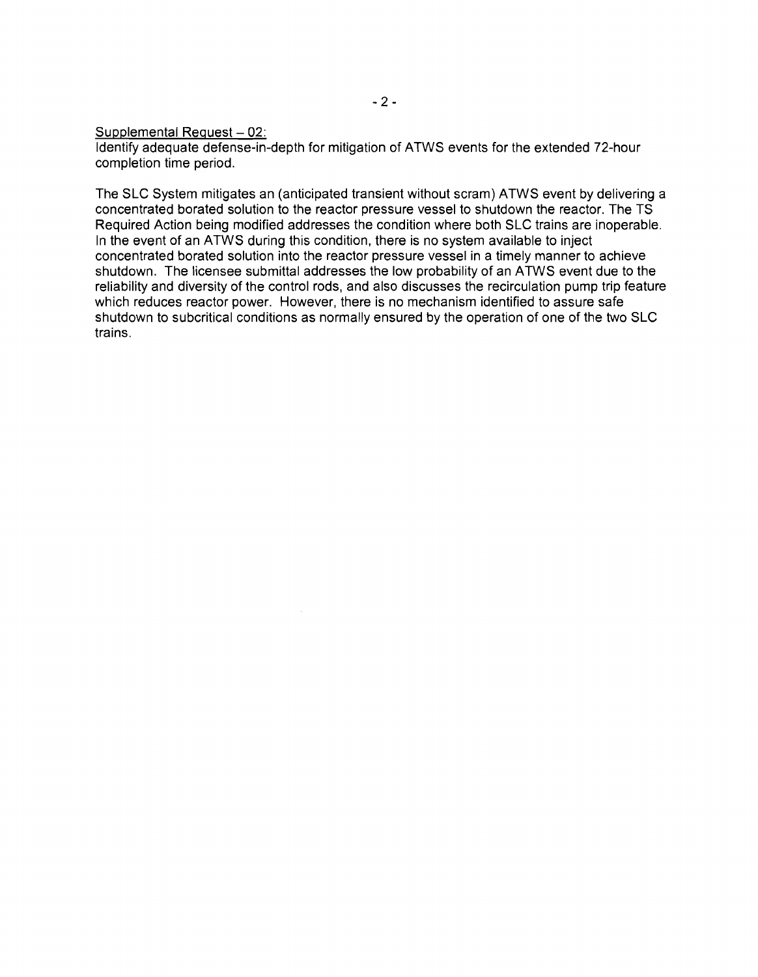Supplemental Request  $-02$ :

Identify adequate defense-in-depth for mitigation of ATWS events for the extended 72-hour completion time period.

The SLC System mitigates an (anticipated transient without scram) ATWS event by delivering a concentrated borated solution to the reactor pressure vessel to shutdown the reactor. The TS Required Action being modified addresses the condition where both SLC trains are inoperable. In the event of an ATWS during this condition, there is no system available to inject concentrated borated solution into the reactor pressure vessel in a timely manner to achieve shutdown. The licensee submittal addresses the low probability of an ATWS event due to the reliability and diversity of the control rods, and also discusses the recirculation pump trip feature which reduces reactor power. However, there is no mechanism identified to assure safe shutdown to subcritical conditions as normally ensured by the operation of one of the two SLC trains.